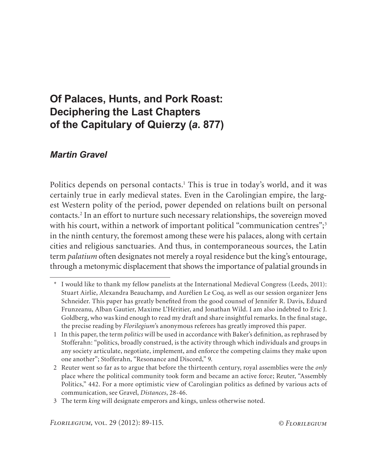# **Of Palaces, Hunts, and Pork Roast: Deciphering the Last Chapters of the Capitulary of Quierzy (***a***. 877)**

## *Martin Gravel*

Politics depends on personal contacts.<sup>1</sup> This is true in today's world, and it was certainly true in early medieval states. Even in the Carolingian empire, the largest Western polity of the period, power depended on relations built on personal contacts.2 In an effort to nurture such necessary relationships, the sovereign moved with his court, within a network of important political "communication centres";<sup>3</sup> in the ninth century, the foremost among these were his palaces, along with certain cities and religious sanctuaries. And thus, in contemporaneous sources, the Latin term *palatium* often designates not merely a royal residence but the king's entourage, through a metonymic displacement that shows the importance of palatial grounds in

<sup>\*</sup> I would like to thank my fellow panelists at the International Medieval Congress (Leeds, 2011): Stuart Airlie, Alexandra Beauchamp, and Aurélien Le Coq, as well as our session organizer Jens Schneider. This paper has greatly benefited from the good counsel of Jennifer R. Davis, Eduard Frunzeanu, Alban Gautier, Maxime L'Héritier, and Jonathan Wild. I am also indebted to Eric J. Goldberg, who was kind enough to read my draft and share insightful remarks. In the final stage, the precise reading by *Florilegium*'s anonymous referees has greatly improved this paper.

<sup>1</sup> In this paper, the term *politics* will be used in accordance with Baker's definition, as rephrased by Stofferahn: "politics, broadly construed, is the activity through which individuals and groups in any society articulate, negotiate, implement, and enforce the competing claims they make upon one another"; Stofferahn, "Resonance and Discord," 9.

<sup>2</sup> Reuter went so far as to argue that before the thirteenth century, royal assemblies were the *only* place where the political community took form and became an active force; Reuter, "Assembly Politics," 442. For a more optimistic view of Carolingian politics as defined by various acts of communication, see Gravel, *Distances*, 28-46.

<sup>3</sup> The term *king* will designate emperors and kings, unless otherwise noted.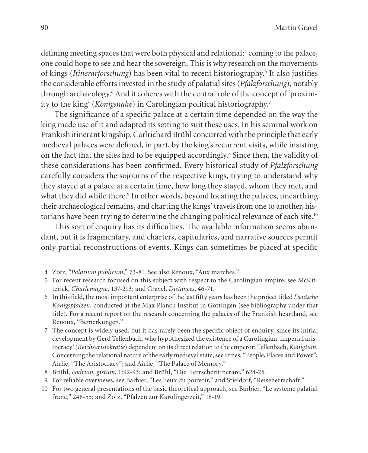defining meeting spaces that were both physical and relational:<sup>4</sup> coming to the palace, one could hope to see and hear the sovereign. This is why research on the movements of kings (*Itinerarforschung*) has been vital to recent historiography.5 It also justifies the considerable efforts invested in the study of palatial sites (*Pfalzforschung*), notably through archaeology.<sup>6</sup> And it coheres with the central role of the concept of 'proximity to the king' (*Königsnähe*) in Carolingian political historiography.7

The significance of a specific palace at a certain time depended on the way the king made use of it and adapted its setting to suit these uses. In his seminal work on Frankish itinerant kingship, Carlrichard Brühl concurred with the principle that early medieval palaces were defined, in part, by the king's recurrent visits, while insisting on the fact that the sites had to be equipped accordingly.<sup>8</sup> Since then, the validity of these considerations has been confirmed. Every historical study of *Pfalzforschung* carefully considers the sojourns of the respective kings, trying to understand why they stayed at a palace at a certain time, how long they stayed, whom they met, and what they did while there.<sup>9</sup> In other words, beyond locating the palaces, unearthing their archaeological remains, and charting the kings' travels from one to another, historians have been trying to determine the changing political relevance of each site.10

This sort of enquiry has its difficulties. The available information seems abundant, but it is fragmentary, and charters, capitularies, and narrative sources permit only partial reconstructions of events. Kings can sometimes be placed at specific

<sup>4</sup> Zotz, "*Palatium publicum*," 73-81. See also Renoux, "Aux marches."

<sup>5</sup> For recent research focused on this subject with respect to the Carolingian empire, see McKitterick, *Charlemagne*, 137-213; and Gravel, *Distances*, 46-71.

<sup>6</sup> In this field, the most important enterprise of the last fifty years has been the project titled *Deutsche Königspfalzen*, conducted at the Max Planck Institut in Göttingen (see bibliography under that title). For a recent report on the research concerning the palaces of the Frankish heartland, see Renoux, "Bemerkungen."

<sup>7</sup> The concept is widely used, but it has rarely been the specific object of enquiry, since its initial development by Gerd Tellenbach, who hypothesized the existence of a Carolingian 'imperial aristocracy' (*Reichsaristokratie*) dependent on its direct relation to the emperor; Tellenbach, *Königtum*. Concerning the relational nature of the early medieval state, see Innes, "People, Places and Power"; Airlie, "The Aristocracy"; and Airlie, "The Palace of Memory."

<sup>8</sup> Brühl, *Fodrum, gistum*, 1:92-93; and Brühl, "Die Herrscheritinerare," 624-25.

<sup>9</sup> For reliable overviews, see Barbier, "Les lieux du pouvoir," and Stieldorf, "Reiseherrschaft."

<sup>10</sup> For two general presentations of the basic theoretical approach, see Barbier, "Le système palatial franc," 248-55; and Zotz, "Pfalzen zur Karolingerzeit," 18-19.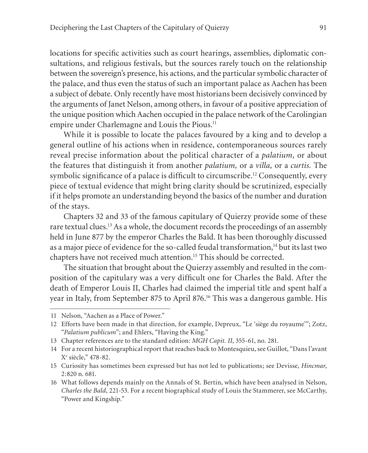locations for specific activities such as court hearings, assemblies, diplomatic consultations, and religious festivals, but the sources rarely touch on the relationship between the sovereign's presence, his actions, and the particular symbolic character of the palace, and thus even the status of such an important palace as Aachen has been a subject of debate. Only recently have most historians been decisively convinced by the arguments of Janet Nelson, among others, in favour of a positive appreciation of the unique position which Aachen occupied in the palace network of the Carolingian empire under Charlemagne and Louis the Pious.<sup>11</sup>

While it is possible to locate the palaces favoured by a king and to develop a general outline of his actions when in residence, contemporaneous sources rarely reveal precise information about the political character of a *palatium,* or about the features that distinguish it from another *palatium,* or a *villa,* or a *curtis.* The symbolic significance of a palace is difficult to circumscribe.12 Consequently, every piece of textual evidence that might bring clarity should be scrutinized, especially if it helps promote an understanding beyond the basics of the number and duration of the stays.

Chapters 32 and 33 of the famous capitulary of Quierzy provide some of these rare textual clues.<sup>13</sup> As a whole, the document records the proceedings of an assembly held in June 877 by the emperor Charles the Bald. It has been thoroughly discussed as a major piece of evidence for the so-called feudal transformation,<sup>14</sup> but its last two chapters have not received much attention.15 This should be corrected.

The situation that brought about the Quierzy assembly and resulted in the composition of the capitulary was a very difficult one for Charles the Bald. After the death of Emperor Louis II, Charles had claimed the imperial title and spent half a year in Italy, from September 875 to April 876.<sup>16</sup> This was a dangerous gamble. His

<sup>11</sup> Nelson, "Aachen as a Place of Power."

<sup>12</sup> Efforts have been made in that direction, for example, Depreux, "Le 'siège du royaume'"; Zotz, "*Palatium publicum*"; and Ehlers, "Having the King."

<sup>13</sup> Chapter references are to the standard edition: *MGH Capit. II*, 355-61, no. 281.

<sup>14</sup> For a recent historiographical report that reaches back to Montesquieu, see Guillot, "Dans l'avant Xe siècle," 478-82.

<sup>15</sup> Curiosity has sometimes been expressed but has not led to publications; see Devisse, *Hincmar*, 2:820 n. 681.

<sup>16</sup> What follows depends mainly on the Annals of St. Bertin, which have been analysed in Nelson, *Charles the Bald*, 221-53. For a recent biographical study of Louis the Stammerer, see McCarthy, "Power and Kingship."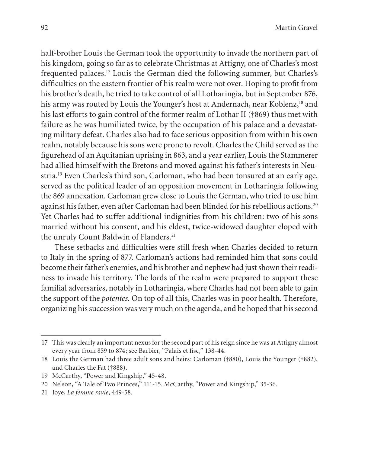half-brother Louis the German took the opportunity to invade the northern part of his kingdom, going so far as to celebrate Christmas at Attigny, one of Charles's most frequented palaces.17 Louis the German died the following summer, but Charles's difficulties on the eastern frontier of his realm were not over. Hoping to profit from his brother's death, he tried to take control of all Lotharingia, but in September 876, his army was routed by Louis the Younger's host at Andernach, near Koblenz,<sup>18</sup> and his last efforts to gain control of the former realm of Lothar II (†869) thus met with failure as he was humiliated twice, by the occupation of his palace and a devastating military defeat. Charles also had to face serious opposition from within his own realm, notably because his sons were prone to revolt. Charles the Child served as the figurehead of an Aquitanian uprising in 863, and a year earlier, Louis the Stammerer had allied himself with the Bretons and moved against his father's interests in Neustria.19 Even Charles's third son, Carloman, who had been tonsured at an early age, served as the political leader of an opposition movement in Lotharingia following the 869 annexation. Carloman grew close to Louis the German, who tried to use him against his father, even after Carloman had been blinded for his rebellious actions.20 Yet Charles had to suffer additional indignities from his children: two of his sons married without his consent, and his eldest, twice-widowed daughter eloped with the unruly Count Baldwin of Flanders.<sup>21</sup>

These setbacks and difficulties were still fresh when Charles decided to return to Italy in the spring of 877. Carloman's actions had reminded him that sons could become their father's enemies, and his brother and nephew had just shown their readiness to invade his territory. The lords of the realm were prepared to support these familial adversaries, notably in Lotharingia, where Charles had not been able to gain the support of the *potentes.* On top of all this, Charles was in poor health. Therefore, organizing his succession was very much on the agenda, and he hoped that his second

<sup>17</sup> This was clearly an important nexus for the second part of his reign since he was at Attigny almost every year from 859 to 874; see Barbier, "Palais et fisc," 138-44.

<sup>18</sup> Louis the German had three adult sons and heirs: Carloman (†880), Louis the Younger (†882), and Charles the Fat (†888).

<sup>19</sup> McCarthy, "Power and Kingship," 45-48.

<sup>20</sup> Nelson, "A Tale of Two Princes," 111-15. McCarthy, "Power and Kingship," 35-36.

<sup>21</sup> Joye, *La femme ravie*, 449-58.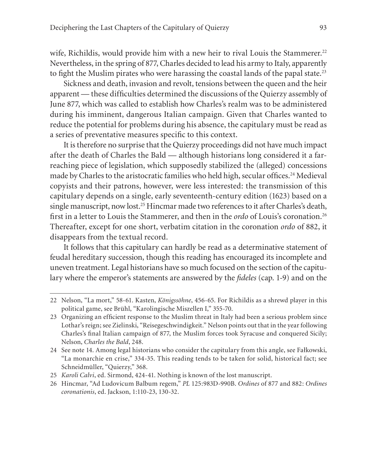wife, Richildis, would provide him with a new heir to rival Louis the Stammerer.<sup>22</sup> Nevertheless, in the spring of 877, Charles decided to lead his army to Italy, apparently to fight the Muslim pirates who were harassing the coastal lands of the papal state.<sup>23</sup>

Sickness and death, invasion and revolt, tensions between the queen and the heir apparent — these difficulties determined the discussions of the Quierzy assembly of June 877, which was called to establish how Charles's realm was to be administered during his imminent, dangerous Italian campaign. Given that Charles wanted to reduce the potential for problems during his absence, the capitulary must be read as a series of preventative measures specific to this context.

It is therefore no surprise that the Quierzy proceedings did not have much impact after the death of Charles the Bald — although historians long considered it a farreaching piece of legislation, which supposedly stabilized the (alleged) concessions made by Charles to the aristocratic families who held high, secular offices.24 Medieval copyists and their patrons, however, were less interested: the transmission of this capitulary depends on a single, early seventeenth-century edition (1623) based on a single manuscript, now lost.25 Hincmar made two references to it after Charles's death, first in a letter to Louis the Stammerer, and then in the *ordo* of Louis's coronation.26 Thereafter, except for one short, verbatim citation in the coronation *ordo* of 882, it disappears from the textual record.

It follows that this capitulary can hardly be read as a determinative statement of feudal hereditary succession, though this reading has encouraged its incomplete and uneven treatment. Legal historians have so much focused on the section of the capitulary where the emperor's statements are answered by the *fideles* (cap. 1-9) and on the

<sup>22</sup> Nelson, "La mort," 58-61. Kasten, *Königssöhne*, 456-65. For Richildis as a shrewd player in this political game, see Brühl, "Karolingische Miszellen I," 355-70.

<sup>23</sup> Organizing an efficient response to the Muslim threat in Italy had been a serious problem since Lothar's reign; see Zielinski, "Reisegeschwindigkeit." Nelson points out that in the year following Charles's final Italian campaign of 877, the Muslim forces took Syracuse and conquered Sicily; Nelson, *Charles the Bald*, 248.

<sup>24</sup> See note 14. Among legal historians who consider the capitulary from this angle, see Fałkowski, "La monarchie en crise," 334-35. This reading tends to be taken for solid, historical fact; see Schneidmüller, "Quierzy," 368.

<sup>25</sup> *Karoli Calvi*, ed. Sirmond, 424-41. Nothing is known of the lost manuscript.

<sup>26</sup> Hincmar, "Ad Ludovicum Balbum regem," *PL* 125:983D-990B. *Ordines* of 877 and 882: *Ordines coronationis*, ed. Jackson, 1:110-23, 130-32.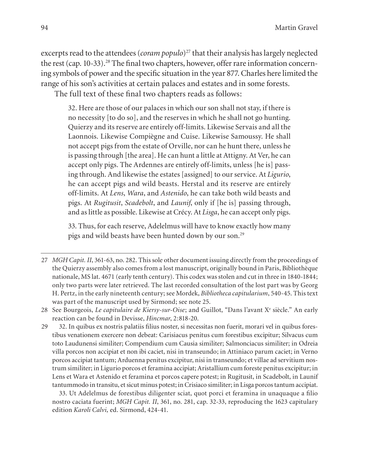excerpts read to the attendees (*coram populo*)<sup>27</sup> that their analysis has largely neglected the rest (cap. 10-33).<sup>28</sup> The final two chapters, however, offer rare information concerning symbols of power and the specific situation in the year 877. Charles here limited the range of his son's activities at certain palaces and estates and in some forests.

The full text of these final two chapters reads as follows:

32. Here are those of our palaces in which our son shall not stay, if there is no necessity [to do so], and the reserves in which he shall not go hunting. Quierzy and its reserve are entirely off-limits. Likewise Servais and all the Laonnois. Likewise Compiègne and Cuise. Likewise Samoussy. He shall not accept pigs from the estate of Orville, nor can he hunt there, unless he is passing through [the area]. He can hunt a little at Attigny. At Ver, he can accept only pigs. The Ardennes are entirely off-limits, unless [he is] passing through. And likewise the estates [assigned] to our service. At *Ligurio*, he can accept pigs and wild beasts. Herstal and its reserve are entirely off-limits. At *Lens*, *Wara*, and *Astenido*, he can take both wild beasts and pigs. At *Rugitusit*, *Scadebolt*, and *Launif*, only if [he is] passing through, and as little as possible. Likewise at Crécy. At *Lisga*, he can accept only pigs.

33. Thus, for each reserve, Adelelmus will have to know exactly how many pigs and wild beasts have been hunted down by our son.29

 33. Ut Adelelmus de forestibus diligenter sciat, quot porci et feramina in unaquaque a filio nostro caciata fuerint; *MGH Capit. II*, 361, no. 281, cap. 32-33, reproducing the 1623 capitulary edition *Karoli Calvi,* ed. Sirmond, 424-41.

<sup>27</sup> *MGH Capit. II*, 361-63, no. 282. This sole other document issuing directly from the proceedings of the Quierzy assembly also comes from a lost manuscript, originally bound in Paris, Bibliothèque nationale, MS lat. 4671 (early tenth century). This codex was stolen and cut in three in 1840-1844; only two parts were later retrieved. The last recorded consultation of the lost part was by Georg H. Pertz, in the early nineteenth century; see Mordek, *Bibliotheca capitularium*, 540-45. This text was part of the manuscript used by Sirmond; see note 25.

<sup>28</sup> See Bourgeois, *Le capitulaire de Kiersy-sur-Oise*; and Guillot, "Dans l'avant Xe siècle." An early reaction can be found in Devisse, *Hincmar*, 2:818-20.

<sup>29 32.</sup> In quibus ex nostris palatiis filius noster, si necessitas non fuerit, morari vel in quibus forestibus venationem exercere non debeat: Carisiacus penitus cum forestibus excipitur; Silvacus cum toto Laudunensi similiter; Compendium cum Causia similiter; Salmonciacus similiter; in Odreia villa porcos non accipiat et non ibi caciet, nisi in transeundo; in Attiniaco parum caciet; in Verno porcos accipiat tantum; Arduenna penitus excipitur, nisi in transeundo; et villae ad servitium nostrum similiter; in Ligurio porcos et feramina accipiat; Aristallium cum foreste penitus excipitur; in Lens et Wara et Astenido et feramina et porcos capere potest; in Rugitusit, in Scadebolt, in Launif tantummodo in transitu, et sicut minus potest; in Crisiaco similiter; in Lisga porcos tantum accipiat.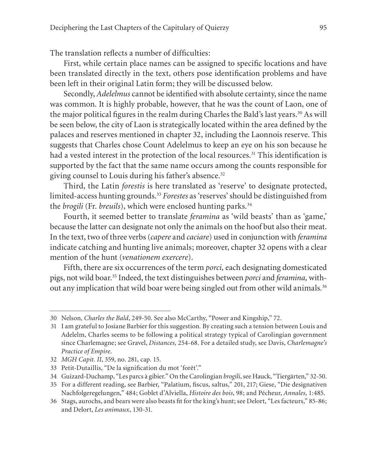The translation reflects a number of difficulties:

First, while certain place names can be assigned to specific locations and have been translated directly in the text, others pose identification problems and have been left in their original Latin form; they will be discussed below.

Secondly, *Adelelmus* cannot be identified with absolute certainty, since the name was common. It is highly probable, however, that he was the count of Laon, one of the major political figures in the realm during Charles the Bald's last years.<sup>30</sup> As will be seen below, the city of Laon is strategically located within the area defined by the palaces and reserves mentioned in chapter 32, including the Laonnois reserve. This suggests that Charles chose Count Adelelmus to keep an eye on his son because he had a vested interest in the protection of the local resources.<sup>31</sup> This identification is supported by the fact that the same name occurs among the counts responsible for giving counsel to Louis during his father's absence.32

Third, the Latin *forestis* is here translated as 'reserve' to designate protected, limited-access hunting grounds.33 *Forestes* as 'reserves' should be distinguished from the *brogili* (Fr. *breuils*), which were enclosed hunting parks.<sup>34</sup>

Fourth, it seemed better to translate *feramina* as 'wild beasts' than as 'game,' because the latter can designate not only the animals on the hoof but also their meat. In the text, two of three verbs (*capere* and *caciare*) used in conjunction with *feramina* indicate catching and hunting live animals; moreover, chapter 32 opens with a clear mention of the hunt (*venationem exercere*).

Fifth, there are six occurrences of the term *porci,* each designating domesticated pigs, not wild boar.35 Indeed, the text distinguishes between *porci* and *feramina,* without any implication that wild boar were being singled out from other wild animals*.* 36

<sup>30</sup> Nelson, *Charles the Bald*, 249-50. See also McCarthy, "Power and Kingship," 72.

<sup>31</sup> I am grateful to Josiane Barbier for this suggestion*.* By creating such a tension between Louis and Adelelm, Charles seems to be following a political strategy typical of Carolingian government since Charlemagne; see Gravel, *Distances,* 254-68. For a detailed study, see Davis, *Charlemagne's Practice of Empire*.

<sup>32</sup> *MGH Capit. II*, 359, no. 281, cap. 15.

<sup>33</sup> Petit-Dutaillis, "De la signification du mot 'forêt'."

<sup>34</sup> Guizard-Duchamp, "Les parcs à gibier." On the Carolingian *brogili*, see Hauck, "Tiergärten," 32-50.

<sup>35</sup> For a different reading, see Barbier, "Palatium, fiscus, saltus," 201, 217; Giese, "Die designativen Nachfolgeregelungen," 484; Goblet d'Alviella, *Histoire des bois*, 98; and Pécheur, *Annales*, 1:485.

<sup>36</sup> Stags, aurochs, and bears were also beasts fit for the king's hunt; see Delort, "Les facteurs," 85-86; and Delort, *Les animaux*, 130-31.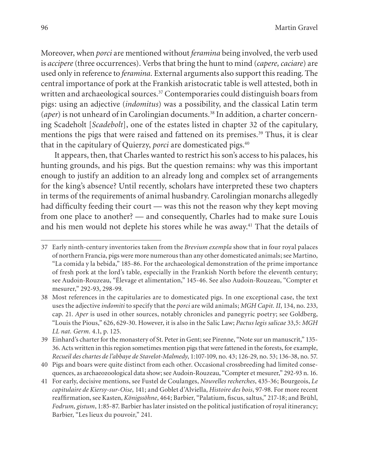Moreover, when *porci* are mentioned without *feramina* being involved, the verb used is *accipere* (three occurrences). Verbs that bring the hunt to mind (*capere, caciare*) are used only in reference to *feramina.* External arguments also support this reading. The central importance of pork at the Frankish aristocratic table is well attested, both in written and archaeological sources.<sup>37</sup> Contemporaries could distinguish boars from pigs: using an adjective (*indomitus*) was a possibility, and the classical Latin term (*aper*) is not unheard of in Carolingian documents.<sup>38</sup> In addition, a charter concerning Scadeholt [*Scadebolt*], one of the estates listed in chapter 32 of the capitulary, mentions the pigs that were raised and fattened on its premises.<sup>39</sup> Thus, it is clear that in the capitulary of Quierzy, *porci* are domesticated pigs.<sup>40</sup>

It appears, then, that Charles wanted to restrict his son's access to his palaces, his hunting grounds, and his pigs. But the question remains: why was this important enough to justify an addition to an already long and complex set of arrangements for the king's absence? Until recently, scholars have interpreted these two chapters in terms of the requirements of animal husbandry. Carolingian monarchs allegedly had difficulty feeding their court — was this not the reason why they kept moving from one place to another? — and consequently, Charles had to make sure Louis and his men would not deplete his stores while he was away.<sup>41</sup> That the details of

<sup>37</sup> Early ninth-century inventories taken from the *Brevium exempla* show that in four royal palaces of northern Francia, pigs were more numerous than any other domesticated animals; see Martino, "La comida y la bebida," 185-86. For the archaeological demonstration of the prime importance of fresh pork at the lord's table, especially in the Frankish North before the eleventh century; see Audoin-Rouzeau, "Élevage et alimentation," 145-46. See also Audoin-Rouzeau, "Compter et mesurer," 292-93, 298-99.

<sup>38</sup> Most references in the capitularies are to domesticated pigs. In one exceptional case, the text uses the adjective *indomiti* to specify that the *porci* are wild animals; *MGH Capit. II*, 134, no. 233, cap. 21. *Aper* is used in other sources, notably chronicles and panegyric poetry; see Goldberg, "Louis the Pious," 626, 629-30. However, it is also in the Salic Law; *Pactus legis salicae* 33,5: *MGH LL nat. Germ.* 4.1, p. 125.

<sup>39</sup> Einhard's charter for the monastery of St. Peter in Gent; see Pirenne, "Note sur un manuscrit," 135- 36. Acts written in this region sometimes mention pigs that were fattened in the forests, for example, *Recueil des chartes de l'abbaye de Stavelot-Malmedy*, 1:107-109, no. 43; 126-29, no. 53; 136-38, no. 57.

<sup>40</sup> Pigs and boars were quite distinct from each other. Occasional crossbreeding had limited consequences, as archaeozoological data show; see Audoin-Rouzeau, "Compter et mesurer," 292-93 n. 16.

<sup>41</sup> For early, decisive mentions, see Fustel de Coulanges, *Nouvelles recherches*, 435-36; Bourgeois, *Le capitulaire de Kiersy-sur-Oise,* 141; and Goblet d'Alviella, *Histoire des bois*, 97-98. For more recent reaffirmation, see Kasten, *Königssöhne*, 464; Barbier, "Palatium, fiscus, saltus," 217-18; and Brühl, *Fodrum, gistum*, 1:85-87. Barbier has later insisted on the political justification of royal itinerancy; Barbier, "Les lieux du pouvoir," 241.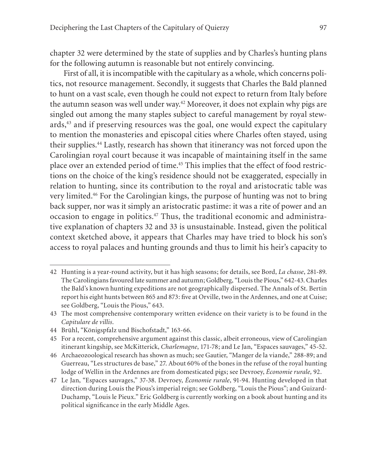chapter 32 were determined by the state of supplies and by Charles's hunting plans for the following autumn is reasonable but not entirely convincing.

First of all, it is incompatible with the capitulary as a whole, which concerns politics, not resource management. Secondly, it suggests that Charles the Bald planned to hunt on a vast scale, even though he could not expect to return from Italy before the autumn season was well under way.42 Moreover, it does not explain why pigs are singled out among the many staples subject to careful management by royal stewards,43 and if preserving resources was the goal, one would expect the capitulary to mention the monasteries and episcopal cities where Charles often stayed, using their supplies.44 Lastly, research has shown that itinerancy was not forced upon the Carolingian royal court because it was incapable of maintaining itself in the same place over an extended period of time.45 This implies that the effect of food restrictions on the choice of the king's residence should not be exaggerated, especially in relation to hunting, since its contribution to the royal and aristocratic table was very limited.46 For the Carolingian kings, the purpose of hunting was not to bring back supper, nor was it simply an aristocratic pastime: it was a rite of power and an occasion to engage in politics.<sup>47</sup> Thus, the traditional economic and administrative explanation of chapters 32 and 33 is unsustainable. Instead, given the political context sketched above, it appears that Charles may have tried to block his son's access to royal palaces and hunting grounds and thus to limit his heir's capacity to

<sup>42</sup> Hunting is a year-round activity, but it has high seasons; for details, see Bord, *La chasse*, 281-89. The Carolingians favoured late summer and autumn; Goldberg, "Louis the Pious," 642-43. Charles the Bald's known hunting expeditions are not geographically dispersed. The Annals of St. Bertin report his eight hunts between 865 and 873: five at Orville, two in the Ardennes, and one at Cuise; see Goldberg, "Louis the Pious," 643.

<sup>43</sup> The most comprehensive contemporary written evidence on their variety is to be found in the *Capitulare de villis*.

<sup>44</sup> Brühl, "Königspfalz und Bischofstadt," 163-66.

<sup>45</sup> For a recent, comprehensive argument against this classic, albeit erroneous, view of Carolingian itinerant kingship, see McKitterick, *Charlemagne*, 171-78; and Le Jan, "Espaces sauvages," 45-52.

<sup>46</sup> Archaeozoological research has shown as much; see Gautier, "Manger de la viande," 288-89; and Guerreau, "Les structures de base," 27. About 60% of the bones in the refuse of the royal hunting lodge of Wellin in the Ardennes are from domesticated pigs; see Devroey, *Économie rurale,* 92.

<sup>47</sup> Le Jan, "Espaces sauvages," 37-38. Devroey, *Économie rurale*, 91-94. Hunting developed in that direction during Louis the Pious's imperial reign; see Goldberg, "Louis the Pious"; and Guizard-Duchamp, "Louis le Pieux." Eric Goldberg is currently working on a book about hunting and its political significance in the early Middle Ages.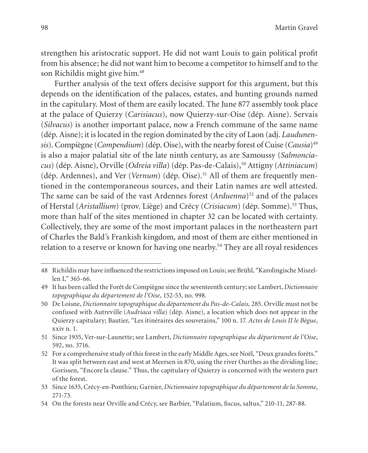strengthen his aristocratic support. He did not want Louis to gain political profit from his absence; he did not want him to become a competitor to himself and to the son Richildis might give him.<sup>48</sup>

Further analysis of the text offers decisive support for this argument, but this depends on the identification of the palaces, estates, and hunting grounds named in the capitulary. Most of them are easily located. The June 877 assembly took place at the palace of Quierzy (*Carisiacus*), now Quierzy-sur-Oise (dép. Aisne). Servais (*Silvacus*) is another important palace, now a French commune of the same name (dép. Aisne); it is located in the region dominated by the city of Laon (adj. *Laudunensis*). Compiègne (*Compendium*) (dép. Oise), with the nearby forest of Cuise (*Causia*)49 is also a major palatial site of the late ninth century, as are Samoussy (*Salmonciacus*) (dép. Aisne), Orville (*Odreia villa*) (dép. Pas-de-Calais),50 Attigny (*Attiniacum*) (dép. Ardennes), and Ver (*Vernum*) (dép. Oise).51 All of them are frequently mentioned in the contemporaneous sources, and their Latin names are well attested. The same can be said of the vast Ardennes forest (*Arduenna*)<sup>52</sup> and of the palaces of Herstal (*Aristallium*) (prov. Liège) and Crécy (*Crisiacum*) (dép. Somme).53 Thus, more than half of the sites mentioned in chapter 32 can be located with certainty. Collectively, they are some of the most important palaces in the northeastern part of Charles the Bald's Frankish kingdom, and most of them are either mentioned in relation to a reserve or known for having one nearby.<sup>54</sup> They are all royal residences

<sup>48</sup> Richildis may have influenced the restrictions imposed on Louis; see Brühl, "Karolingische Miszellen I," 365-66.

<sup>49</sup> It has been called the Forêt de Compiègne since the seventeenth century; see Lambert, *Dictionnaire topographique du département de l'Oise*, 152-53, no. 998.

<sup>50</sup> De Loisne, *Dictionnaire topographique du département du Pas-de-Calais,* 285. Orville must not be confused with Autreville (*Audriaca villa*) (dép. Aisne), a location which does not appear in the Quierzy capitulary; Bautier, "Les itinéraires des souverains," 100 n. 17. *Actes de Louis II le Bègue*, xxiv n. 1.

<sup>51</sup> Since 1935, Ver-sur-Launette; see Lambert, *Dictionnaire topographique du département de l'Oise*, 592, no. 3716.

<sup>52</sup> For a comprehensive study of this forest in the early Middle Ages, see Noël, "Deux grandes forêts." It was split between east and west at Meersen in 870, using the river Ourthes as the dividing line; Gorissen, "Encore la clause." Thus, the capitulary of Quierzy is concerned with the western part of the forest.

<sup>53</sup> Since 1635, Crécy-en-Ponthieu; Garnier, *Dictionnaire topographique du département de la Somme*, 271-73.

<sup>54</sup> On the forests near Orville and Crécy, see Barbier, "Palatium, fiscus, saltus," 210-11, 287-88.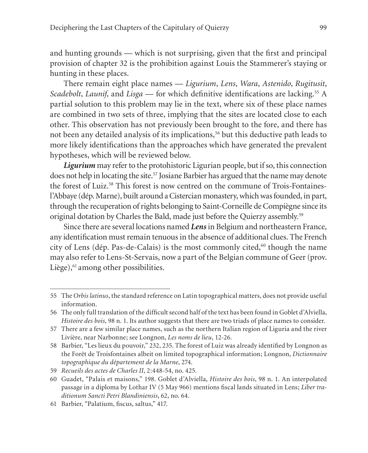and hunting grounds — which is not surprising, given that the first and principal provision of chapter 32 is the prohibition against Louis the Stammerer's staying or hunting in these places.

There remain eight place names — *Ligurium*, *Lens*, *Wara*, *Astenido*, *Rugitusit*, *Scadebolt*, *Launif*, and *Lisga* — for which definitive identifications are lacking.55 A partial solution to this problem may lie in the text, where six of these place names are combined in two sets of three, implying that the sites are located close to each other. This observation has not previously been brought to the fore, and there has not been any detailed analysis of its implications,<sup>56</sup> but this deductive path leads to more likely identifications than the approaches which have generated the prevalent hypotheses, which will be reviewed below.

*Ligurium* may refer to the protohistoric Ligurian people, but if so, this connection does not help in locating the site.57 Josiane Barbier has argued that the name may denote the forest of Luiz.58 This forest is now centred on the commune of Trois-Fontainesl'Abbaye (dép. Marne), built around a Cistercian monastery, which was founded, in part, through the recuperation of rights belonging to Saint-Corneille de Compiègne since its original dotation by Charles the Bald, made just before the Quierzy assembly.<sup>59</sup>

Since there are several locations named *Lens* in Belgium and northeastern France, any identification must remain tenuous in the absence of additional clues. The French city of Lens (dép. Pas-de-Calais) is the most commonly cited,<sup>60</sup> though the name may also refer to Lens-St-Servais, now a part of the Belgian commune of Geer (prov. Liège),<sup>61</sup> among other possibilities.

<sup>55</sup> The *Orbis latinus*, the standard reference on Latin topographical matters, does not provide useful information.

<sup>56</sup> The only full translation of the difficult second half of the text has been found in Goblet d'Alviella, *Histoire des bois*, 98 n. 1. Its author suggests that there are two triads of place names to consider.

<sup>57</sup> There are a few similar place names, such as the northern Italian region of Liguria and the river Livière, near Narbonne; see Longnon, *Les noms de lieu*, 12-26.

<sup>58</sup> Barbier, "Les lieux du pouvoir," 232, 235. The forest of Luiz was already identified by Longnon as the Forêt de Troisfontaines albeit on limited topographical information; Longnon, *Dictionnaire topographique du département de la Marne*, 274.

<sup>59</sup> *Recueils des actes de Charles II*, 2:448-54, no. 425.

<sup>60</sup> Guadet, "Palais et maisons," 198. Goblet d'Alviella, *Histoire des bois*, 98 n. 1. An interpolated passage in a diploma by Lothar IV (5 May 966) mentions fiscal lands situated in Lens; *Liber traditionum Sancti Petri Blandiniensis*, 62, no. 64.

<sup>61</sup> Barbier, "Palatium, fiscus, saltus," 417.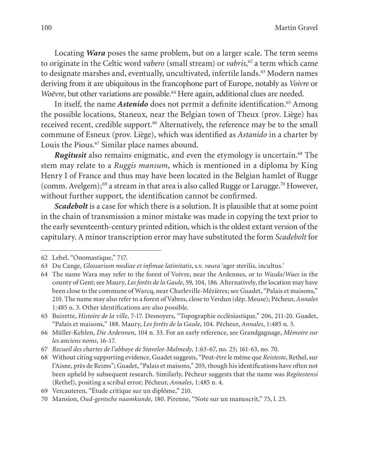Locating *Wara* poses the same problem, but on a larger scale. The term seems to originate in the Celtic word *vabero* (small stream) or *vabris*, 62 a term which came to designate marshes and, eventually, uncultivated, infertile lands.<sup>63</sup> Modern names deriving from it are ubiquitous in the francophone part of Europe, notably as *Voivre* or *Woëvre*, but other variations are possible.<sup>64</sup> Here again, additional clues are needed.

In itself, the name *Astenido* does not permit a definite identification.<sup>65</sup> Among the possible locations, Staneux, near the Belgian town of Theux (prov. Liège) has received recent, credible support.<sup>66</sup> Alternatively, the reference may be to the small commune of Esneux (prov. Liège), which was identified as *Astanido* in a charter by Louis the Pious.<sup>67</sup> Similar place names abound.

*Rugitusit* also remains enigmatic, and even the etymology is uncertain.<sup>68</sup> The stem may relate to a *Ruggis mansum*, which is mentioned in a diploma by King Henry I of France and thus may have been located in the Belgian hamlet of Rugge (comm. Avelgem); $69$  a stream in that area is also called Rugge or Larugge.<sup>70</sup> However, without further support, the identification cannot be confirmed.

*Scadebolt* is a case for which there is a solution. It is plausible that at some point in the chain of transmission a minor mistake was made in copying the text prior to the early seventeenth-century printed edition, which is the oldest extant version of the capitulary. A minor transcription error may have substituted the form *Scadebolt* for

<sup>62</sup> Lebel, "Onomastique," 717.

<sup>63</sup> Du Cange, *Glossarium mediae et infimae latinitatis*, s.v. *vaura* 'ager sterilis, incultus.'

<sup>64</sup> The name Wara may refer to the forest of Voivre, near the Ardennes, or to *Wasda*/*Waes* in the county of Gent; see Maury, *Les forêts de la Gaule*, 59, 104, 186. Alternatively, the location may have been close to the commune of Warcq, near Charleville-Mézières; see Guadet, "Palais et maisons," 210. The name may also refer to a forest of Vabres, close to Verdun (dép. Meuse); Pécheur, *Annales*  1:485 n. 3. Other identifications are also possible.

<sup>65</sup> Buirette, *Histoire de la ville*, 7-17. Desnoyers, "Topographie ecclésiastique," 206, 211-20. Guadet, "Palais et maisons," 188. Maury, *Les forêts de la Gaule*, 104. Pécheur, *Annales*, 1:485 n. 3.

<sup>66</sup> Müller-Kehlen, *Die Ardennen*, 104 n. 53. For an early reference, see Grandgagnage, *Mémoire sur les anciens noms*, 16-17.

<sup>67</sup> *Recueil des chartes de l'abbaye de Stavelot-Malmedy*, 1:63-67, no. 25; 161-63, no. 70.

<sup>68</sup> Without citing supporting evidence, Guadet suggests, "Peut-être le même que *Reisteste*, Rethel, sur l'Aisne, près de Reims"; Guadet, "Palais et maisons," 205, though his identifications have often not been upheld by subsequent research. Similarly, Pécheur suggests that the name was *Regitestensi* (Rethel), positing a scribal error; Pécheur, *Annales*, 1:485 n. 4.

<sup>69</sup> Vercauteren, "Étude critique sur un diplôme," 210.

<sup>70</sup> Mansion, *Oud-gentsche naamkunde*, 180. Pirenne, "Note sur un manuscrit," 75, l. 25.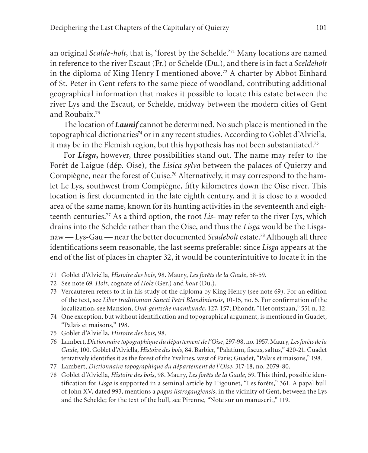an original *Scalde*-*holt*, that is, 'forest by the Schelde.'71 Many locations are named in reference to the river Escaut (Fr.) or Schelde (Du.), and there is in fact a *Sceldeholt* in the diploma of King Henry I mentioned above.72 A charter by Abbot Einhard of St. Peter in Gent refers to the same piece of woodland, contributing additional geographical information that makes it possible to locate this estate between the river Lys and the Escaut, or Schelde, midway between the modern cities of Gent and Roubaix.73

The location of *Launif* cannot be determined. No such place is mentioned in the topographical dictionaries<sup>74</sup> or in any recent studies. According to Goblet d'Alviella, it may be in the Flemish region, but this hypothesis has not been substantiated.75

For *Lisga***,** however, three possibilities stand out. The name may refer to the Forêt de Laigue (dép. Oise), the *Lisica sylva* between the palaces of Quierzy and Compiègne, near the forest of Cuise.76 Alternatively, it may correspond to the hamlet Le Lys, southwest from Compiègne, fifty kilometres down the Oise river. This location is first documented in the late eighth century, and it is close to a wooded area of the same name, known for its hunting activities in the seventeenth and eighteenth centuries.77 As a third option, the root *Lis-* may refer to the river Lys, which drains into the Schelde rather than the Oise, and thus the *Lisga* would be the Lisganaw — Lys-Gau — near the better documented *Scadebolt* estate.78 Although all three identifications seem reasonable, the last seems preferable: since *Lisga* appears at the end of the list of places in chapter 32, it would be counterintuitive to locate it in the

<sup>71</sup> Goblet d'Alviella, *Histoire des bois*, 98. Maury, *Les forêts de la Gaule*, 58-59.

<sup>72</sup> See note 69. *Holt*, cognate of *Holz* (Ger.) and *hout* (Du.).

<sup>73</sup> Vercauteren refers to it in his study of the diploma by King Henry (see note 69). For an edition of the text, see *Liber traditionum Sancti Petri Blandiniensis*, 10-15, no. 5. For confirmation of the localization, see Mansion, *Oud-gentsche naamkunde*, 127, 157; Dhondt, "Het ontstaan," 551 n. 12.

<sup>74</sup> One exception, but without identification and topographical argument, is mentioned in Guadet, "Palais et maisons," 198.

<sup>75</sup> Goblet d'Alviella, *Histoire des bois*, 98.

<sup>76</sup> Lambert, *Dictionnaire topographique du département de l'Oise*, 297-98, no. 1957. Maury, *Les forêts de la Gaule*, 100. Goblet d'Alviella, *Histoire des bois*, 84. Barbier, "Palatium, fiscus, saltus," 420-21. Guadet tentatively identifies it as the forest of the Yvelines, west of Paris; Guadet, "Palais et maisons," 198.

<sup>77</sup> Lambert, *Dictionnaire topographique du département de l'Oise*, 317-18, no. 2079-80.

<sup>78</sup> Goblet d'Alviella, *Histoire des bois*, 98. Maury, *Les forêts de la Gaule*, 59. This third, possible identification for *Lisga* is supported in a seminal article by Higounet, "Les forêts," 361. A papal bull of John XV, dated 993, mentions a *pagus listrogaugiensis*, in the vicinity of Gent, between the Lys and the Schelde; for the text of the bull, see Pirenne, "Note sur un manuscrit," 119.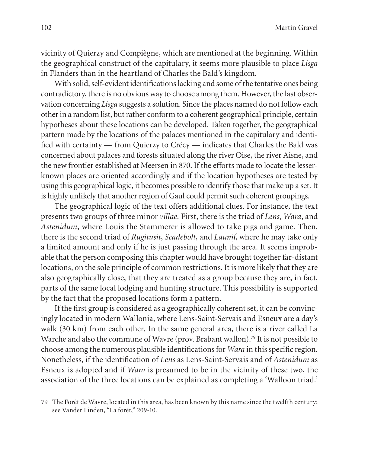102 Martin Gravel

vicinity of Quierzy and Compiègne, which are mentioned at the beginning. Within the geographical construct of the capitulary, it seems more plausible to place *Lisga* in Flanders than in the heartland of Charles the Bald's kingdom.

With solid, self-evident identifications lacking and some of the tentative ones being contradictory, there is no obvious way to choose among them. However, the last observation concerning *Lisga* suggests a solution. Since the places named do not follow each other in a random list, but rather conform to a coherent geographical principle, certain hypotheses about these locations can be developed. Taken together, the geographical pattern made by the locations of the palaces mentioned in the capitulary and identified with certainty — from Quierzy to Crécy — indicates that Charles the Bald was concerned about palaces and forests situated along the river Oise, the river Aisne, and the new frontier established at Meersen in 870. If the efforts made to locate the lesserknown places are oriented accordingly and if the location hypotheses are tested by using this geographical logic, it becomes possible to identify those that make up a set. It is highly unlikely that another region of Gaul could permit such coherent groupings.

The geographical logic of the text offers additional clues. For instance, the text presents two groups of three minor *villae.* First, there is the triad of *Lens*, *Wara*, and *Astenidum*, where Louis the Stammerer is allowed to take pigs and game. Then, there is the second triad of *Rugitusit*, *Scadebolt*, and *Launif*, where he may take only a limited amount and only if he is just passing through the area. It seems improbable that the person composing this chapter would have brought together far-distant locations, on the sole principle of common restrictions. It is more likely that they are also geographically close, that they are treated as a group because they are, in fact, parts of the same local lodging and hunting structure. This possibility is supported by the fact that the proposed locations form a pattern.

If the first group is considered as a geographically coherent set, it can be convincingly located in modern Wallonia, where Lens-Saint-Servais and Esneux are a day's walk (30 km) from each other. In the same general area, there is a river called La Warche and also the commune of Wavre (prov. Brabant wallon).79 It is not possible to choose among the numerous plausible identifications for *Wara* in this specific region. Nonetheless, if the identification of *Lens* as Lens-Saint-Servais and of *Astenidum* as Esneux is adopted and if *Wara* is presumed to be in the vicinity of these two, the association of the three locations can be explained as completing a 'Walloon triad.'

<sup>79</sup> The Forêt de Wavre, located in this area, has been known by this name since the twelfth century; see Vander Linden, "La forêt," 209-10.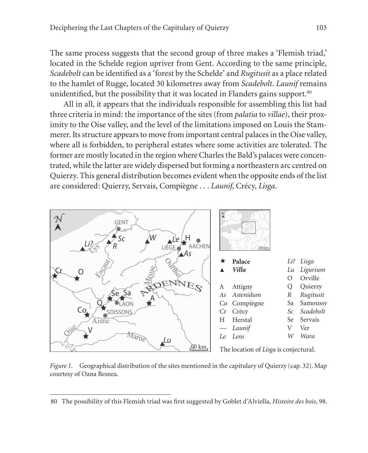The same process suggests that the second group of three makes a 'Flemish triad,' located in the Schelde region upriver from Gent. According to the same principle, *Scadebolt* can be identified as a 'forest by the Schelde' and *Rugitusit* as a place related to the hamlet of Rugge, located 30 kilometres away from *Scadebolt*. *Launif* remains unidentified, but the possibility that it was located in Flanders gains support.<sup>80</sup>

All in all, it appears that the individuals responsible for assembling this list had three criteria in mind: the importance of the sites (from *palatia* to *villae*), their proximity to the Oise valley, and the level of the limitations imposed on Louis the Stammerer. Its structure appears to move from important central palaces in the Oise valley, where all is forbidden, to peripheral estates where some activities are tolerated. The former are mostly located in the region where Charles the Bald's palaces were concentrated, while the latter are widely dispersed but forming a northeastern arc centred on Quierzy. This general distribution becomes evident when the opposite ends of the list are considered: Quierzy, Servais, Compiègne . . . *Launif*, Crécy, *Lisga*. maps



*Figure 1*. Geographical distribution of the sites mentioned in the capitulary of Quierzy (cap. 32). Map courtesy of Oana Besnea.

<sup>80</sup> The possibility of this Flemish triad was first suggested by Goblet d'Alviella, *Histoire des bois*, 98.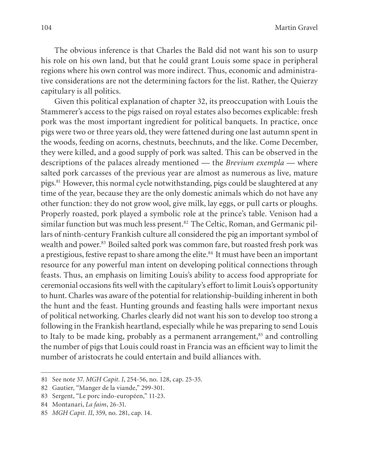The obvious inference is that Charles the Bald did not want his son to usurp his role on his own land, but that he could grant Louis some space in peripheral regions where his own control was more indirect. Thus, economic and administrative considerations are not the determining factors for the list. Rather, the Quierzy capitulary is all politics.

Given this political explanation of chapter 32, its preoccupation with Louis the Stammerer's access to the pigs raised on royal estates also becomes explicable: fresh pork was the most important ingredient for political banquets. In practice, once pigs were two or three years old, they were fattened during one last autumn spent in the woods, feeding on acorns, chestnuts, beechnuts, and the like. Come December, they were killed, and a good supply of pork was salted. This can be observed in the descriptions of the palaces already mentioned — the *Brevium exempla* — where salted pork carcasses of the previous year are almost as numerous as live, mature pigs.<sup>81</sup> However, this normal cycle notwithstanding, pigs could be slaughtered at any time of the year, because they are the only domestic animals which do not have any other function: they do not grow wool, give milk, lay eggs, or pull carts or ploughs. Properly roasted, pork played a symbolic role at the prince's table. Venison had a similar function but was much less present.<sup>82</sup> The Celtic, Roman, and Germanic pillars of ninth-century Frankish culture all considered the pig an important symbol of wealth and power.<sup>83</sup> Boiled salted pork was common fare, but roasted fresh pork was a prestigious, festive repast to share among the elite.<sup>84</sup> It must have been an important resource for any powerful man intent on developing political connections through feasts. Thus, an emphasis on limiting Louis's ability to access food appropriate for ceremonial occasions fits well with the capitulary's effort to limit Louis's opportunity to hunt. Charles was aware of the potential for relationship-building inherent in both the hunt and the feast. Hunting grounds and feasting halls were important nexus of political networking. Charles clearly did not want his son to develop too strong a following in the Frankish heartland, especially while he was preparing to send Louis to Italy to be made king, probably as a permanent arrangement,<sup>85</sup> and controlling the number of pigs that Louis could roast in Francia was an efficient way to limit the number of aristocrats he could entertain and build alliances with.

<sup>81</sup> See note 37. *MGH Capit*. *I*, 254-56, no. 128, cap. 25-35.

<sup>82</sup> Gautier, "Manger de la viande," 299-301.

<sup>83</sup> Sergent, "Le porc indo-européen," 11-23.

<sup>84</sup> Montanari, *La faim*, 26-31.

<sup>85</sup> *MGH Capit. II*, 359, no. 281, cap. 14.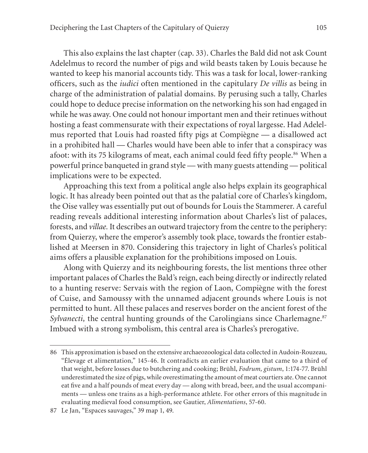This also explains the last chapter (cap. 33). Charles the Bald did not ask Count Adelelmus to record the number of pigs and wild beasts taken by Louis because he wanted to keep his manorial accounts tidy. This was a task for local, lower-ranking officers, such as the *iudici* often mentioned in the capitulary *De villis* as being in charge of the administration of palatial domains. By perusing such a tally, Charles could hope to deduce precise information on the networking his son had engaged in while he was away. One could not honour important men and their retinues without hosting a feast commensurate with their expectations of royal largesse. Had Adelelmus reported that Louis had roasted fifty pigs at Compiègne — a disallowed act in a prohibited hall — Charles would have been able to infer that a conspiracy was afoot: with its 75 kilograms of meat, each animal could feed fifty people.<sup>86</sup> When a powerful prince banqueted in grand style — with many guests attending — political implications were to be expected.

Approaching this text from a political angle also helps explain its geographical logic. It has already been pointed out that as the palatial core of Charles's kingdom, the Oise valley was essentially put out of bounds for Louis the Stammerer. A careful reading reveals additional interesting information about Charles's list of palaces, forests, and *villae.* It describes an outward trajectory from the centre to the periphery: from Quierzy, where the emperor's assembly took place, towards the frontier established at Meersen in 870. Considering this trajectory in light of Charles's political aims offers a plausible explanation for the prohibitions imposed on Louis.

Along with Quierzy and its neighbouring forests, the list mentions three other important palaces of Charles the Bald's reign, each being directly or indirectly related to a hunting reserve: Servais with the region of Laon, Compiègne with the forest of Cuise, and Samoussy with the unnamed adjacent grounds where Louis is not permitted to hunt. All these palaces and reserves border on the ancient forest of the *Sylvanecti*, the central hunting grounds of the Carolingians since Charlemagne.<sup>87</sup> Imbued with a strong symbolism, this central area is Charles's prerogative.

<sup>86</sup> This approximation is based on the extensive archaeozoological data collected in Audoin-Rouzeau, "Élevage et alimentation," 145-46. It contradicts an earlier evaluation that came to a third of that weight, before losses due to butchering and cooking; Brühl, *Fodrum, gistum*, 1:174-77. Brühl underestimated the size of pigs, while overestimating the amount of meat courtiers ate. One cannot eat five and a half pounds of meat every day — along with bread, beer, and the usual accompaniments — unless one trains as a high-performance athlete. For other errors of this magnitude in evaluating medieval food consumption, see Gautier, *Alimentations*, 57-60.

<sup>87</sup> Le Jan, "Espaces sauvages," 39 map 1, 49.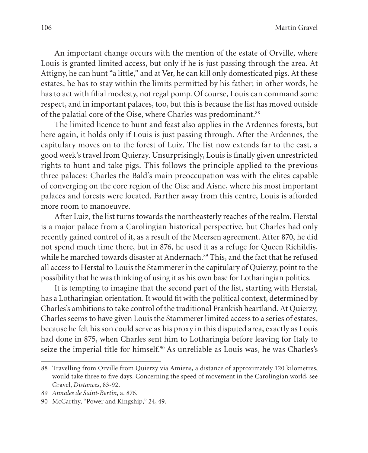An important change occurs with the mention of the estate of Orville, where Louis is granted limited access, but only if he is just passing through the area. At Attigny, he can hunt "a little," and at Ver, he can kill only domesticated pigs. At these estates, he has to stay within the limits permitted by his father; in other words, he has to act with filial modesty, not regal pomp. Of course, Louis can command some respect, and in important palaces, too, but this is because the list has moved outside of the palatial core of the Oise, where Charles was predominant.<sup>88</sup>

The limited licence to hunt and feast also applies in the Ardennes forests, but here again, it holds only if Louis is just passing through. After the Ardennes, the capitulary moves on to the forest of Luiz. The list now extends far to the east, a good week's travel from Quierzy. Unsurprisingly, Louis is finally given unrestricted rights to hunt and take pigs. This follows the principle applied to the previous three palaces: Charles the Bald's main preoccupation was with the elites capable of converging on the core region of the Oise and Aisne, where his most important palaces and forests were located. Farther away from this centre, Louis is afforded more room to manoeuvre.

After Luiz, the list turns towards the northeasterly reaches of the realm. Herstal is a major palace from a Carolingian historical perspective, but Charles had only recently gained control of it, as a result of the Meersen agreement. After 870, he did not spend much time there, but in 876, he used it as a refuge for Queen Richildis, while he marched towards disaster at Andernach.<sup>89</sup> This, and the fact that he refused all access to Herstal to Louis the Stammerer in the capitulary of Quierzy, point to the possibility that he was thinking of using it as his own base for Lotharingian politics.

It is tempting to imagine that the second part of the list, starting with Herstal, has a Lotharingian orientation. It would fit with the political context, determined by Charles's ambitions to take control of the traditional Frankish heartland. At Quierzy, Charles seems to have given Louis the Stammerer limited access to a series of estates, because he felt his son could serve as his proxy in this disputed area, exactly as Louis had done in 875, when Charles sent him to Lotharingia before leaving for Italy to seize the imperial title for himself.<sup>90</sup> As unreliable as Louis was, he was Charles's

<sup>88</sup> Travelling from Orville from Quierzy via Amiens, a distance of approximately 120 kilometres, would take three to five days. Concerning the speed of movement in the Carolingian world, see Gravel, *Distances*, 83-92.

<sup>89</sup> *Annales de Saint-Bertin*, a. 876.

<sup>90</sup> McCarthy, "Power and Kingship," 24, 49.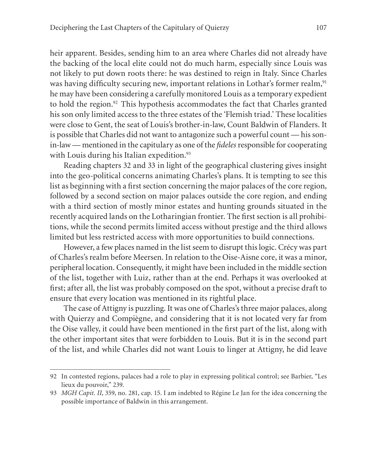heir apparent. Besides, sending him to an area where Charles did not already have the backing of the local elite could not do much harm, especially since Louis was not likely to put down roots there: he was destined to reign in Italy. Since Charles was having difficulty securing new, important relations in Lothar's former realm,<sup>91</sup> he may have been considering a carefully monitored Louis as a temporary expedient to hold the region.<sup>92</sup> This hypothesis accommodates the fact that Charles granted his son only limited access to the three estates of the 'Flemish triad.' These localities were close to Gent, the seat of Louis's brother-in-law, Count Baldwin of Flanders. It is possible that Charles did not want to antagonize such a powerful count — his sonin-law — mentioned in the capitulary as one of the *fideles* responsible for cooperating with Louis during his Italian expedition. $93$ 

Reading chapters 32 and 33 in light of the geographical clustering gives insight into the geo-political concerns animating Charles's plans. It is tempting to see this list as beginning with a first section concerning the major palaces of the core region, followed by a second section on major palaces outside the core region, and ending with a third section of mostly minor estates and hunting grounds situated in the recently acquired lands on the Lotharingian frontier. The first section is all prohibitions, while the second permits limited access without prestige and the third allows limited but less restricted access with more opportunities to build connections.

However, a few places named in the list seem to disrupt this logic. Crécy was part of Charles's realm before Meersen. In relation to the Oise-Aisne core, it was a minor, peripheral location. Consequently, it might have been included in the middle section of the list, together with Luiz, rather than at the end. Perhaps it was overlooked at first; after all, the list was probably composed on the spot, without a precise draft to ensure that every location was mentioned in its rightful place.

The case of Attigny is puzzling. It was one of Charles's three major palaces, along with Quierzy and Compiègne, and considering that it is not located very far from the Oise valley, it could have been mentioned in the first part of the list, along with the other important sites that were forbidden to Louis. But it is in the second part of the list, and while Charles did not want Louis to linger at Attigny, he did leave

<sup>92</sup> In contested regions, palaces had a role to play in expressing political control; see Barbier, "Les lieux du pouvoir," 239.

<sup>93</sup> *MGH Capit. II*, 359, no. 281, cap. 15. I am indebted to Régine Le Jan for the idea concerning the possible importance of Baldwin in this arrangement.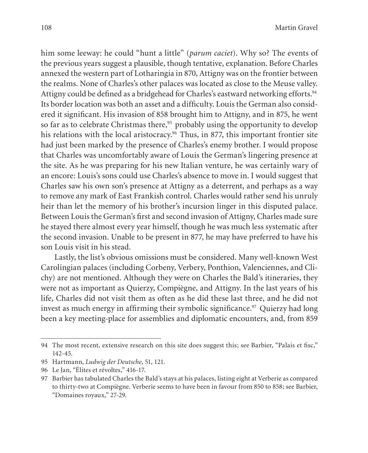him some leeway: he could "hunt a little" (*parum caciet*). Why so? The events of the previous years suggest a plausible, though tentative, explanation. Before Charles annexed the western part of Lotharingia in 870, Attigny was on the frontier between the realms. None of Charles's other palaces was located as close to the Meuse valley. Attigny could be defined as a bridgehead for Charles's eastward networking efforts.<sup>94</sup> Its border location was both an asset and a difficulty. Louis the German also considered it significant. His invasion of 858 brought him to Attigny, and in 875, he went so far as to celebrate Christmas there,<sup>95</sup> probably using the opportunity to develop his relations with the local aristocracy.<sup>96</sup> Thus, in 877, this important frontier site had just been marked by the presence of Charles's enemy brother. I would propose that Charles was uncomfortably aware of Louis the German's lingering presence at the site. As he was preparing for his new Italian venture, he was certainly wary of an encore: Louis's sons could use Charles's absence to move in. I would suggest that Charles saw his own son's presence at Attigny as a deterrent, and perhaps as a way to remove any mark of East Frankish control. Charles would rather send his unruly heir than let the memory of his brother's incursion linger in this disputed palace. Between Louis the German's first and second invasion of Attigny, Charles made sure he stayed there almost every year himself, though he was much less systematic after the second invasion. Unable to be present in 877, he may have preferred to have his son Louis visit in his stead.

Lastly, the list's obvious omissions must be considered. Many well-known West Carolingian palaces (including Corbeny, Verbery, Ponthion, Valenciennes, and Clichy) are not mentioned. Although they were on Charles the Bald's itineraries, they were not as important as Quierzy, Compiègne, and Attigny. In the last years of his life, Charles did not visit them as often as he did these last three, and he did not invest as much energy in affirming their symbolic significance.<sup>97</sup> Quierzy had long been a key meeting-place for assemblies and diplomatic encounters, and, from 859

<sup>94</sup> The most recent, extensive research on this site does suggest this; see Barbier, "Palais et fisc," 142-45.

<sup>95</sup> Hartmann, *Ludwig der Deutsche*, 51, 121.

<sup>96</sup> Le Jan, "Élites et révoltes," 416-17.

<sup>97</sup> Barbier has tabulated Charles the Bald's stays at his palaces, listing eight at Verberie as compared to thirty-two at Compiègne. Verberie seems to have been in favour from 850 to 858; see Barbier, "Domaines royaux," 27-29.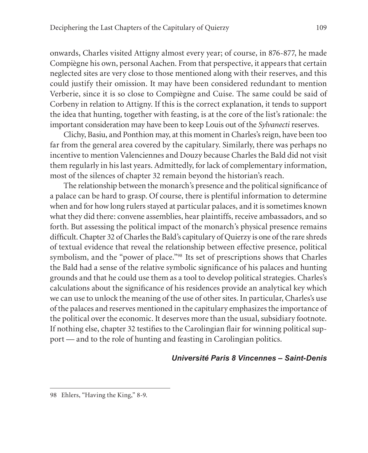onwards, Charles visited Attigny almost every year; of course, in 876-877, he made Compiègne his own, personal Aachen. From that perspective, it appears that certain neglected sites are very close to those mentioned along with their reserves, and this could justify their omission. It may have been considered redundant to mention Verberie, since it is so close to Compiègne and Cuise. The same could be said of Corbeny in relation to Attigny. If this is the correct explanation, it tends to support the idea that hunting, together with feasting, is at the core of the list's rationale: the important consideration may have been to keep Louis out of the *Sylvanecti* reserves.

Clichy, Basiu, and Ponthion may, at this moment in Charles's reign, have been too far from the general area covered by the capitulary. Similarly, there was perhaps no incentive to mention Valenciennes and Douzy because Charles the Bald did not visit them regularly in his last years. Admittedly, for lack of complementary information, most of the silences of chapter 32 remain beyond the historian's reach.

The relationship between the monarch's presence and the political significance of a palace can be hard to grasp. Of course, there is plentiful information to determine when and for how long rulers stayed at particular palaces, and it is sometimes known what they did there: convene assemblies, hear plaintiffs, receive ambassadors, and so forth. But assessing the political impact of the monarch's physical presence remains difficult. Chapter 32 of Charles the Bald's capitulary of Quierzy is one of the rare shreds of textual evidence that reveal the relationship between effective presence, political symbolism, and the "power of place."<sup>98</sup> Its set of prescriptions shows that Charles the Bald had a sense of the relative symbolic significance of his palaces and hunting grounds and that he could use them as a tool to develop political strategies. Charles's calculations about the significance of his residences provide an analytical key which we can use to unlock the meaning of the use of other sites. In particular, Charles's use of the palaces and reserves mentioned in the capitulary emphasizes the importance of the political over the economic. It deserves more than the usual, subsidiary footnote. If nothing else, chapter 32 testifies to the Carolingian flair for winning political support — and to the role of hunting and feasting in Carolingian politics.

#### *Université Paris 8 Vincennes – Saint-Denis*

<sup>98</sup> Ehlers, "Having the King," 8-9.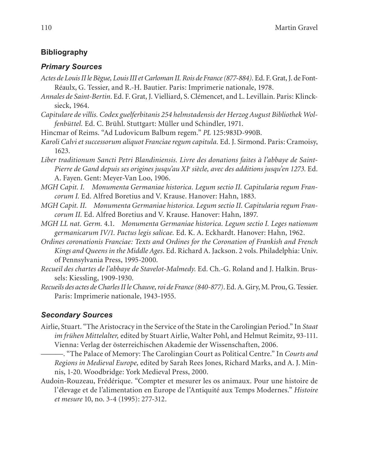### **Bibliography**

#### *Primary Sources*

- *Actes de Louis II le Bègue, Louis III et Carloman II. Rois de France (877-884).* Ed. F. Grat, J. de Font-Réaulx, G. Tessier, and R.-H. Bautier. Paris: Imprimerie nationale, 1978.
- *Annales de Saint-Bertin*. Ed. F. Grat, J. Vielliard, S. Clémencet, and L. Levillain. Paris: Klincksieck, 1964.
- *Capitulare de villis. Codex guelferbitanis 254 helmstadensis der Herzog August Bibliothek Wolfenbüttel.* Ed. C. Brühl. Stuttgart: Müller und Schindler, 1971.
- Hincmar of Reims. "Ad Ludovicum Balbum regem." *PL* 125:983D-990B.
- *Karoli Calvi et successorum aliquot Franciae regum capitula.* Ed. J. Sirmond. Paris: Cramoisy, 1623.
- *Liber traditionum Sancti Petri Blandiniensis. Livre des donations faites à l'abbaye de Saint-Pierre de Gand depuis ses origines jusqu'au XIe siècle, avec des additions jusqu'en 1273.* Ed. A. Fayen. Gent: Meyer-Van Loo, 1906.
- *MGH Capit. I*. *Monumenta Germaniae historica. Legum sectio II. Capitularia regum Francorum I.* Ed. Alfred Boretius and V. Krause. Hanover: Hahn, 1883.
- *MGH Capit. II*. *Monumenta Germaniae historica. Legum sectio II. Capitularia regum Francorum II.* Ed. Alfred Boretius and V. Krause. Hanover: Hahn, 1897.
- *MGH LL nat. Germ.* 4.1. *Monumenta Germaniae historica. Legum sectio I. Leges nationum germanicarum IV/1. Pactus legis salicae.* Ed. K. A. Eckhardt. Hanover: Hahn, 1962.
- *Ordines coronationis Franciae: Texts and Ordines for the Coronation of Frankish and French Kings and Queens in the Middle Ages*. Ed. Richard A. Jackson. 2 vols. Philadelphia: Univ. of Pennsylvania Press, 1995-2000.
- *Recueil des chartes de l'abbaye de Stavelot-Malmedy.* Ed. Ch.-G. Roland and J. Halkin. Brussels: Kiessling, 1909-1930.
- *Recueils des actes de Charles II le Chauve, roi de France (840-877)*. Ed. A. Giry, M. Prou, G. Tessier. Paris: Imprimerie nationale, 1943-1955.

#### *Secondary Sources*

- Airlie, Stuart. "The Aristocracy in the Service of the State in the Carolingian Period." In *Staat im frühen Mittelalter,* edited by Stuart Airlie, Walter Pohl, and Helmut Reimitz, 93-111. Vienna: Verlag der österreichischen Akademie der Wissenschaften, 2006.
	- ———. "The Palace of Memory: The Carolingian Court as Political Centre." In *Courts and Regions in Medieval Europe,* edited by Sarah Rees Jones, Richard Marks, and A. J. Minnis, 1-20. Woodbridge: York Medieval Press, 2000.
- Audoin-Rouzeau, Frédérique. "Compter et mesurer les os animaux. Pour une histoire de l'élevage et de l'alimentation en Europe de l'Antiquité aux Temps Modernes." *Histoire et mesure* 10, no. 3-4 (1995): 277-312.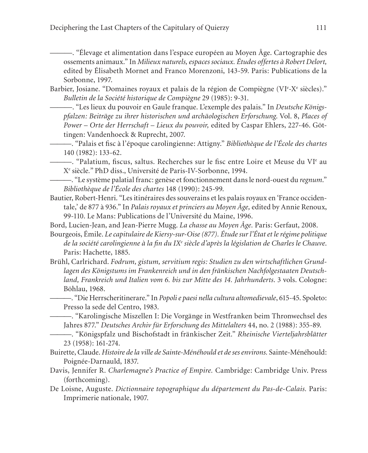———. "Élevage et alimentation dans l'espace européen au Moyen Âge. Cartographie des ossements animaux." In *Milieux naturels, espaces sociaux. Études offertes à Robert Delort,* edited by Élisabeth Mornet and Franco Morenzoni, 143-59. Paris: Publications de la Sorbonne, 1997.

- Barbier, Josiane. "Domaines royaux et palais de la région de Compiègne (VI°-X° siècles)." *Bulletin de la Société historique de Compiègne* 29 (1985): 9-31.
	- ———. "Les lieux du pouvoir en Gaule franque. L'exemple des palais." In *Deutsche Königspfalzen: Beiträge zu ihrer historischen und archäologischen Erforschung*. Vol. 8, *Places of Power – Orte der Herrschaft – Lieux du pouvoir,* edited by Caspar Ehlers, 227-46. Göttingen: Vandenhoeck & Ruprecht, 2007.
- ———. "Palais et fisc à l'époque carolingienne: Attigny." *Bibliothèque de l'École des chartes* 140 (1982): 133-62.
- ———. "Palatium, fiscus, saltus. Recherches sur le fisc entre Loire et Meuse du VI<sup>e</sup> au Xe siècle*."* PhD diss., Université de Paris-IV-Sorbonne, 1994.
- ———. "Le système palatial franc: genèse et fonctionnement dans le nord-ouest du *regnum*." *Bibliothèque de l'École des chartes* 148 (1990): 245-99.
- Bautier, Robert-Henri. "Les itinéraires des souverains et les palais royaux en 'France occidentale,' de 877 à 936." In *Palais royaux et princiers au Moyen Âge,* edited by Annie Renoux, 99-110. Le Mans: Publications de l'Université du Maine, 1996.
- Bord, Lucien-Jean, and Jean-Pierre Mugg. *La chasse au Moyen Âge.* Paris: Gerfaut, 2008.
- Bourgeois, Émile. *Le capitulaire de Kiersy-sur-Oise (877). Étude sur l'État et le régime politique de la société carolingienne à la fin du IXe siècle d'après la législation de Charles le Chauve*. Paris: Hachette, 1885.
- Brühl, Carlrichard. *Fodrum, gistum, servitium regis: Studien zu den wirtschaftlichen Grundlagen des Königstums im Frankenreich und in den fränkischen Nachfolgestaaten Deutschland, Frankreich und Italien vom 6. bis zur Mitte des 14. Jahrhunderts*. 3 vols. Cologne: Böhlau, 1968.
- ———. "Die Herrscheritinerare." In *Popoli e paesi nella cultura altomedievale*, 615-45. Spoleto: Presso la sede del Centro, 1983.
- ———. "Karolingische Miszellen I: Die Vorgänge in Westfranken beim Thronwechsel des Jahres 877." *Deutsches Archiv für Erforschung des Mittelalters* 44, no. 2 (1988): 355-89.
- ———. "Königspfalz und Bischofstadt in fränkischer Zeit." *Rheinische Vierteljahrsblätter* 23 (1958): 161-274.
- Buirette, Claude. *Histoire de la ville de Sainte-Ménéhould et de ses environs.* Sainte-Ménéhould: Poignée-Darnauld, 1837.
- Davis, Jennifer R. *Charlemagne's Practice of Empire.* Cambridge: Cambridge Univ. Press (forthcoming).
- De Loisne, Auguste. *Dictionnaire topographique du département du Pas-de-Calais.* Paris: Imprimerie nationale, 1907.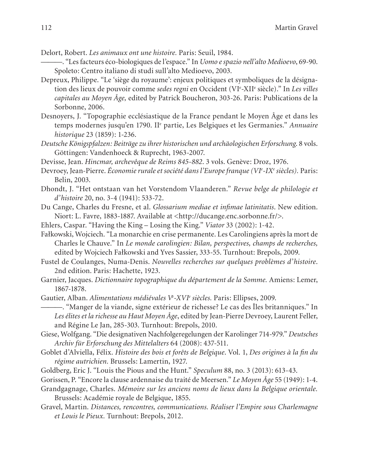Delort, Robert. *Les animaux ont une histoire.* Paris: Seuil, 1984.

- ———. "Les facteurs éco-biologiques de l'espace." In *Uomo e spazio nell'alto Medioevo*, 69-90. Spoleto: Centro italiano di studi sull'alto Medioevo, 2003.
- Depreux, Philippe. "Le 'siège du royaume': enjeux politiques et symboliques de la désignation des lieux de pouvoir comme *sedes regni* en Occident (VIe -XIIe siècle)." In *Les villes capitales au Moyen Âge,* edited by Patrick Boucheron, 303-26. Paris: Publications de la Sorbonne, 2006.
- Desnoyers, J. "Topographie ecclésiastique de la France pendant le Moyen Âge et dans les temps modernes jusqu'en 1790. IIe partie, Les Belgiques et les Germanies." *Annuaire historique* 23 (1859): 1-236.
- *Deutsche Königspfalzen: Beiträge zu ihrer historischen und archäologischen Erforschung*. 8 vols. Göttingen: Vandenhoeck & Ruprecht, 1963-2007.
- Devisse, Jean. *Hincmar, archevêque de Reims 845-882*. 3 vols. Genève: Droz, 1976.
- Devroey, Jean-Pierre. *Économie rurale et société dans l'Europe franque (VIe -IXe siècles).* Paris: Belin, 2003.
- Dhondt, J. "Het ontstaan van het Vorstendom Vlaanderen." *Revue belge de philologie et d'histoire* 20, no. 3-4 (1941): 533-72.
- Du Cange, Charles du Fresne, et al. *Glossarium mediae et infimae latinitatis*. New edition. Niort: L. Favre, 1883-1887. Available at <http://ducange.enc.sorbonne.fr/>.
- Ehlers, Caspar. "Having the King Losing the King." *Viator* 33 (2002): 1-42.
- Fałkowski, Wojciech. "La monarchie en crise permanente. Les Carolingiens après la mort de Charles le Chauve." In *Le monde carolingien: Bilan, perspectives, champs de recherches,* edited by Wojciech Fałkowski and Yves Sassier, 333-55. Turnhout: Brepols, 2009.
- Fustel de Coulanges, Numa-Denis. *Nouvelles recherches sur quelques problèmes d'histoire*. 2nd edition. Paris: Hachette, 1923.
- Garnier, Jacques. *Dictionnaire topographique du département de la Somme.* Amiens: Lemer, 1867-1878.
- Gautier, Alban. *Alimentations médiévales Ve -XVIe siècles.* Paris: Ellipses, 2009.
- ———. "Manger de la viande, signe extérieur de richesse? Le cas des Îles britanniques." In *Les élites et la richesse au Haut Moyen Âge*, edited by Jean-Pierre Devroey, Laurent Feller, and Régine Le Jan, 285-303. Turnhout: Brepols, 2010.
- Giese, Wolfgang. "Die designativen Nachfolgeregelungen der Karolinger 714-979." *Deutsches Archiv für Erforschung des Mittelalters* 64 (2008): 437-511.
- Goblet d'Alviella, Félix. *Histoire des bois et forêts de Belgique*. Vol. 1, *Des origines à la fin du régime autrichien.* Brussels: Lamertin, 1927.
- Goldberg, Eric J. "Louis the Pious and the Hunt." *Speculum* 88, no. 3 (2013): 613-43.
- Gorissen, P. "Encore la clause ardennaise du traité de Meersen." *Le Moyen Âge* 55 (1949): 1-4.
- Grandgagnage, Charles. *Mémoire sur les anciens noms de lieux dans la Belgique orientale.* Brussels: Académie royale de Belgique, 1855.
- Gravel, Martin. *Distances, rencontres, communications. Réaliser l'Empire sous Charlemagne et Louis le Pieux.* Turnhout: Brepols, 2012.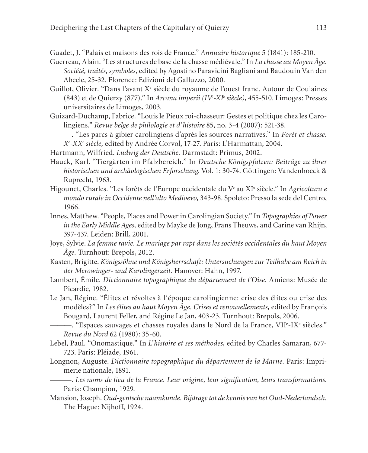Guadet, J. "Palais et maisons des rois de France." *Annuaire historique* 5 (1841): 185-210.

- Guerreau, Alain. "Les structures de base de la chasse médiévale." In *La chasse au Moyen Âge. Société, traités, symboles,* edited by Agostino Paravicini Bagliani and Baudouin Van den Abeele, 25-32. Florence: Edizioni del Galluzzo, 2000.
- Guillot, Olivier. "Dans l'avant X<sup>e</sup> siècle du royaume de l'ouest franc. Autour de Coulaines (843) et de Quierzy (877)." In *Arcana imperii (IVe -XIe siècle)*, 455-510. Limoges: Presses universitaires de Limoges, 2003.
- Guizard-Duchamp, Fabrice. "Louis le Pieux roi-chasseur: Gestes et politique chez les Carolingiens." *Revue belge de philologie et d'histoire* 85, no. 3-4 (2007): 521-38.
- ———. "Les parcs à gibier carolingiens d'après les sources narratives." In *Forêt et chasse. Xe -XXe siècle,* edited by Andrée Corvol, 17-27. Paris: L'Harmattan, 2004.

Hartmann, Wilfried. *Ludwig der Deutsche.* Darmstadt: Primus, 2002.

- Hauck, Karl. "Tiergärten im Pfalzbereich." In *Deutsche Königspfalzen: Beiträge zu ihrer historischen und archäologischen Erforschung*. Vol. 1: 30-74. Göttingen: Vandenhoeck & Ruprecht, 1963.
- Higounet, Charles. "Les forêts de l'Europe occidentale du Ve au XIe siècle." In *Agricoltura e mondo rurale in Occidente nell'alto Medioevo,* 343-98. Spoleto: Presso la sede del Centro, 1966.
- Innes, Matthew. "People, Places and Power in Carolingian Society." In *Topographies of Power in the Early Middle Ages,* edited by Mayke de Jong, Frans Theuws, and Carine van Rhijn, 397-437. Leiden: Brill, 2001.
- Joye, Sylvie. *La femme ravie. Le mariage par rapt dans les sociétés occidentales du haut Moyen Âge.* Turnhout: Brepols, 2012.
- Kasten, Brigitte. *Königssöhne und Königsherrschaft: Untersuchungen zur Teilhabe am Reich in der Merowinger- und Karolingerzeit.* Hanover: Hahn, 1997.
- Lambert, Émile. *Dictionnaire topographique du département de l'Oise.* Amiens: Musée de Picardie, 1982.
- Le Jan, Régine. "Élites et révoltes à l'époque carolingienne: crise des élites ou crise des modèles?" In *Les élites au haut Moyen Âge. Crises et renouvellements,* edited by François Bougard, Laurent Feller, and Régine Le Jan, 403-23. Turnhout: Brepols, 2006.

———. "Espaces sauvages et chasses royales dans le Nord de la France, VII°-IX° siècles." *Revue du Nord* 62 (1980): 35-60.

- Lebel, Paul. "Onomastique." In *L'histoire et ses méthodes,* edited by Charles Samaran, 677- 723. Paris: Pléiade, 1961.
- Longnon, Auguste. *Dictionnaire topographique du département de la Marne.* Paris: Imprimerie nationale, 1891.
- ———. *Les noms de lieu de la France. Leur origine, leur signification, leurs transformations.* Paris: Champion, 1929.
- Mansion, Joseph. *Oud-gentsche naamkunde. Bijdrage tot de kennis van het Oud-Nederlandsch.* The Hague: Nijhoff, 1924.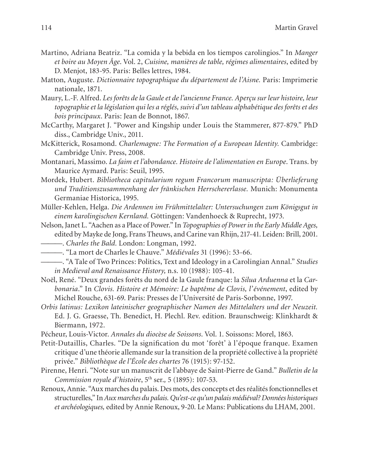- Martino, Adriana Beatriz. "La comida y la bebida en los tiempos carolingios." In *Manger et boire au Moyen Âge*. Vol. 2, *Cuisine, manières de table, régimes alimentaires*, edited by D. Menjot, 183-95. Paris: Belles lettres, 1984.
- Matton, Auguste. *Dictionnaire topographique du département de l'Aisne.* Paris: Imprimerie nationale, 1871.
- Maury, L.-F. Alfred. *Les forêts de la Gaule et de l'ancienne France. Aperçu sur leur histoire, leur topographie et la législation qui les a réglés, suivi d'un tableau alphabétique des forêts et des bois principaux*. Paris: Jean de Bonnot, 1867.
- McCarthy, Margaret J. "Power and Kingship under Louis the Stammerer, 877-879." PhD diss., Cambridge Univ., 2011.
- McKitterick, Rosamond. *Charlemagne: The Formation of a European Identity.* Cambridge: Cambridge Univ. Press, 2008.
- Montanari, Massimo. *La faim et l'abondance. Histoire de l'alimentation en Europe*. Trans. by Maurice Aymard. Paris: Seuil, 1995.
- Mordek, Hubert. *Bibliotheca capitularium regum Francorum manuscripta: Überlieferung und Traditionszusammenhang der fränkischen Herrschererlasse.* Munich: Monumenta Germaniae Historica, 1995.
- Müller-Kehlen, Helga. *Die Ardennen im Frühmittelalter: Untersuchungen zum Königsgut in einem karolingischen Kernland.* Göttingen: Vandenhoeck & Ruprecht, 1973.
- Nelson, Janet L. "Aachen as a Place of Power." In *Topographies of Power in the Early Middle Ages,* edited by Mayke de Jong, Frans Theuws, and Carine van Rhijn, 217-41. Leiden: Brill, 2001.
- ———. *Charles the Bald.* London: Longman, 1992.
- ———. "La mort de Charles le Chauve." *Médiévales* 31 (1996): 53-66.
- ———. "A Tale of Two Princes: Politics, Text and Ideology in a Carolingian Annal." *Studies in Medieval and Renaissance History,* n.s. 10 (1988): 105-41.
- Noël, René. "Deux grandes forêts du nord de la Gaule franque: la *Silua Arduenna* et la *Carbonaria*." In *Clovis. Histoire et Mémoire: Le baptême de Clovis, l'événement*, edited by Michel Rouche, 631-69. Paris: Presses de l'Université de Paris-Sorbonne, 1997.
- *Orbis latinus: Lexikon lateinischer geographischer Namen des Mittelalters und der Neuzeit.* Ed. J. G. Graesse, Th. Benedict, H. Plechl. Rev. edition. Braunschweig: Klinkhardt & Biermann, 1972.
- Pécheur, Louis-Victor. *Annales du diocèse de Soissons*. Vol. 1. Soissons: Morel, 1863.
- Petit-Dutaillis, Charles. "De la signification du mot 'forêt' à l'époque franque. Examen critique d'une théorie allemande sur la transition de la propriété collective à la propriété privée." *Bibliothèque de l'École des chartes* 76 (1915): 97-152.
- Pirenne, Henri. "Note sur un manuscrit de l'abbaye de Saint-Pierre de Gand." *Bulletin de la Commission royale d'histoire*, 5<sup>th</sup> ser., 5 (1895): 107-53.
- Renoux, Annie. "Aux marches du palais. Des mots, des concepts et des réalités fonctionnelles et structurelles," In *Aux marches du palais. Qu'est-ce qu'un palais médiéval? Données historiques et archéologiques,* edited by Annie Renoux, 9-20. Le Mans: Publications du LHAM, 2001.